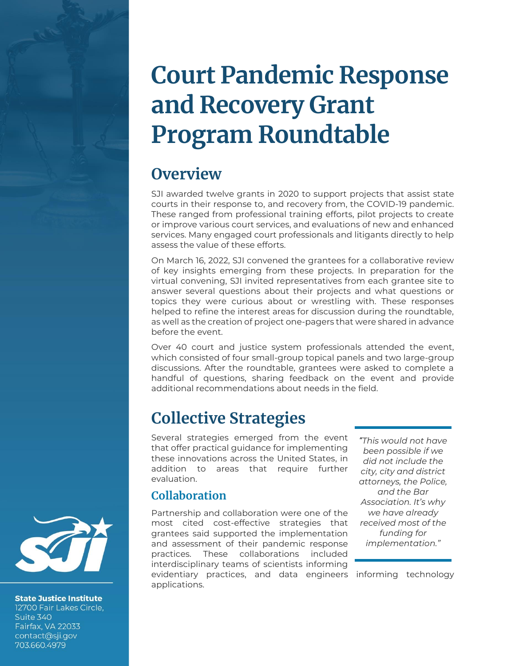# **Court Pandemic Response and Recovery Grant Program Roundtable**

# **Overview**

SJI awarded twelve grants in 2020 to support projects that assist state courts in their response to, and recovery from, the COVID-19 pandemic. These ranged from professional training efforts, pilot projects to create or improve various court services, and evaluations of new and enhanced services. Many engaged court professionals and litigants directly to help assess the value of these efforts.

On March 16, 2022, SJI convened the grantees for a collaborative review of key insights emerging from these projects. In preparation for the virtual convening, SJI invited representatives from each grantee site to answer several questions about their projects and what questions or topics they were curious about or wrestling with. These responses helped to refine the interest areas for discussion during the roundtable, as well as the creation of project one-pagers that were shared in advance before the event.

Over 40 court and justice system professionals attended the event, which consisted of four small-group topical panels and two large-group discussions. After the roundtable, grantees were asked to complete a handful of questions, sharing feedback on the event and provide additional recommendations about needs in the field.

# **Collective Strategies**

Several strategies emerged from the event that offer practical guidance for implementing these innovations across the United States, in addition to areas that require further evaluation.

### **Collaboration**

Partnership and collaboration were one of the most cited cost-effective strategies that grantees said supported the implementation and assessment of their pandemic response practices. These collaborations included interdisciplinary teams of scientists informing

evidentiary practices, and data engineers informing technology applications.

*"This would not have been possible if we did not include the city, city and district attorneys, the Police, and the Bar Association. It's why we have already received most of the funding for implementation."*



**State Justice Institute** 12700 Fair Lakes Circle, Suite 340 Fairfax, VA 22033 contact@sji.gov 703.660.4979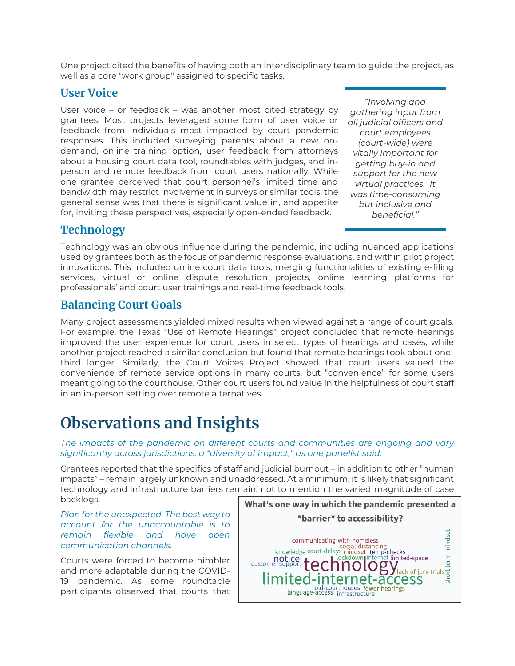One project cited the benefits of having both an interdisciplinary team to guide the project, as well as a core "work group" assigned to specific tasks.

#### **User Voice**

User voice – or feedback – was another most cited strategy by grantees. Most projects leveraged some form of user voice or feedback from individuals most impacted by court pandemic responses. This included surveying parents about a new ondemand, online training option, user feedback from attorneys about a housing court data tool, roundtables with judges, and inperson and remote feedback from court users nationally. While one grantee perceived that court personnel's limited time and bandwidth may restrict involvement in surveys or similar tools, the general sense was that there is significant value in, and appetite for, inviting these perspectives, especially open-ended feedback.

*"Involving and gathering input from all judicial officers and court employees (court-wide) were vitally important for getting buy-in and support for the new virtual practices. It was time-consuming but inclusive and beneficial."*

### **Technology**

Technology was an obvious influence during the pandemic, including nuanced applications used by grantees both as the focus of pandemic response evaluations, and within pilot project innovations. This included online court data tools, merging functionalities of existing e-filing services, virtual or online dispute resolution projects, online learning platforms for professionals' and court user trainings and real-time feedback tools.

### **Balancing Court Goals**

Many project assessments yielded mixed results when viewed against a range of court goals. For example, the Texas "Use of Remote Hearings" project concluded that remote hearings improved the user experience for court users in select types of hearings and cases, while another project reached a similar conclusion but found that remote hearings took about onethird longer. Similarly, the Court Voices Project showed that court users valued the convenience of remote service options in many courts, but "convenience" for some users meant going to the courthouse. Other court users found value in the helpfulness of court staff in an in-person setting over remote alternatives.

## **Observations and Insights**

*The impacts of the pandemic on different courts and communities are ongoing and vary significantly across jurisdictions, a "diversity of impact," as one panelist said.* 

Grantees reported that the specifics of staff and judicial burnout – in addition to other "human impacts" – remain largely unknown and unaddressed. At a minimum, it is likely that significant technology and infrastructure barriers remain, not to mention the varied magnitude of case backlogs.

*Plan for the unexpected. The best way to account for the unaccountable is to remain flexible and have open communication channels.*

Courts were forced to become nimbler and more adaptable during the COVID-19 pandemic. As some roundtable participants observed that courts that